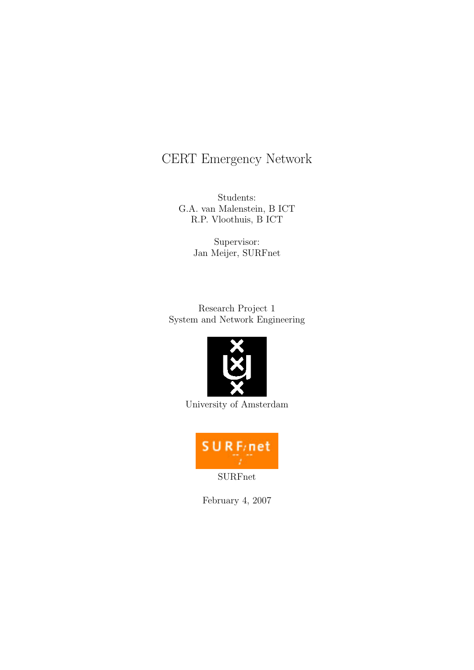## CERT Emergency Network

Students: G.A. van Malenstein, B ICT R.P. Vloothuis, B ICT

> Supervisor: Jan Meijer, SURFnet

Research Project 1 System and Network Engineering



University of Amsterdam



February 4, 2007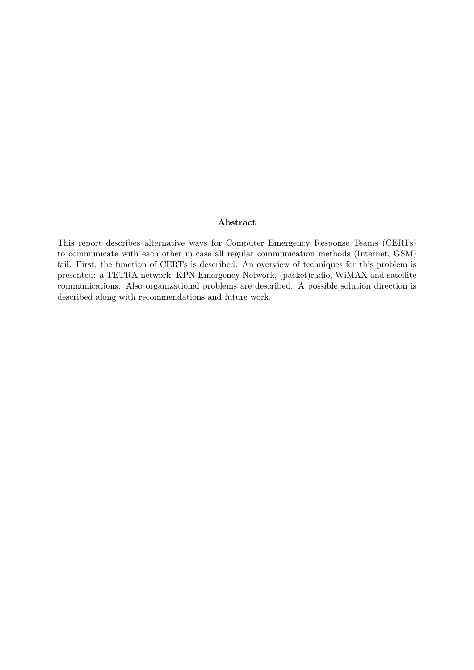#### Abstract

This report describes alternative ways for Computer Emergency Response Teams (CERTs) to communicate with each other in case all regular communication methods (Internet, GSM) fail. First, the function of CERTs is described. An overview of techniques for this problem is presented: a TETRA network, KPN Emergency Network, (packet)radio, WiMAX and satellite communications. Also organizational problems are described. A possible solution direction is described along with recommendations and future work.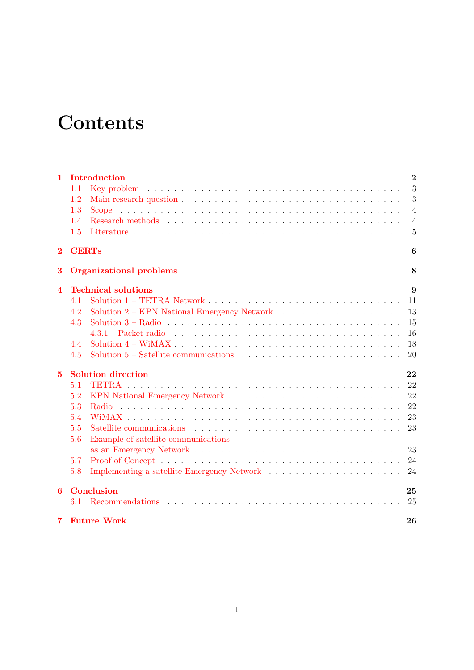# **Contents**

| $\mathbf{1}$   | Introduction                                                                                                                              | $\overline{2}$ |  |  |  |  |
|----------------|-------------------------------------------------------------------------------------------------------------------------------------------|----------------|--|--|--|--|
|                | 1.1                                                                                                                                       | 3              |  |  |  |  |
|                | $1.2\,$                                                                                                                                   | 3              |  |  |  |  |
|                | 1.3<br>Scope                                                                                                                              | $\overline{4}$ |  |  |  |  |
|                | 1.4                                                                                                                                       | $\overline{4}$ |  |  |  |  |
|                | 1.5                                                                                                                                       | 5              |  |  |  |  |
| $\overline{2}$ | <b>CERTs</b>                                                                                                                              | 6              |  |  |  |  |
| 3              | <b>Organizational problems</b>                                                                                                            | 8              |  |  |  |  |
| 4              | <b>Technical solutions</b><br>9                                                                                                           |                |  |  |  |  |
|                | 41                                                                                                                                        | 11             |  |  |  |  |
|                | 4.2                                                                                                                                       | 13             |  |  |  |  |
|                | 4.3                                                                                                                                       | 15             |  |  |  |  |
|                |                                                                                                                                           | 16             |  |  |  |  |
|                | Solution $4 - WIMAX$ , $\ldots$ , $\ldots$ , $\ldots$ , $\ldots$ , $\ldots$ , $\ldots$ , $\ldots$ , $\ldots$ , $\ldots$ , $\ldots$<br>4.4 | 18             |  |  |  |  |
|                | 4.5                                                                                                                                       | 20             |  |  |  |  |
| $5^{\circ}$    | <b>Solution direction</b>                                                                                                                 | 22             |  |  |  |  |
|                | 5.1                                                                                                                                       | 22             |  |  |  |  |
|                | 5.2                                                                                                                                       | 22             |  |  |  |  |
|                | 5.3                                                                                                                                       | 22             |  |  |  |  |
|                | 5.4                                                                                                                                       | 23             |  |  |  |  |
|                | 5.5                                                                                                                                       | 23             |  |  |  |  |
|                | Example of satellite communications<br>5.6                                                                                                |                |  |  |  |  |
|                |                                                                                                                                           | 23             |  |  |  |  |
|                | 5.7                                                                                                                                       | 24             |  |  |  |  |
|                | 5.8                                                                                                                                       | 24             |  |  |  |  |
| 6              | Conclusion                                                                                                                                | 25             |  |  |  |  |
|                | 6.1                                                                                                                                       | 25             |  |  |  |  |
| 7.             | <b>Future Work</b>                                                                                                                        | 26             |  |  |  |  |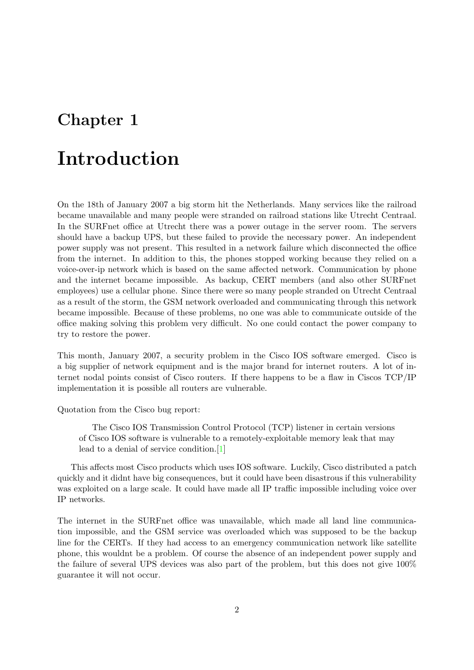# <span id="page-3-0"></span>Introduction

On the 18th of January 2007 a big storm hit the Netherlands. Many services like the railroad became unavailable and many people were stranded on railroad stations like Utrecht Centraal. In the SURFnet office at Utrecht there was a power outage in the server room. The servers should have a backup UPS, but these failed to provide the necessary power. An independent power supply was not present. This resulted in a network failure which disconnected the office from the internet. In addition to this, the phones stopped working because they relied on a voice-over-ip network which is based on the same affected network. Communication by phone and the internet became impossible. As backup, CERT members (and also other SURFnet employees) use a cellular phone. Since there were so many people stranded on Utrecht Centraal as a result of the storm, the GSM network overloaded and communicating through this network became impossible. Because of these problems, no one was able to communicate outside of the office making solving this problem very difficult. No one could contact the power company to try to restore the power.

This month, January 2007, a security problem in the Cisco IOS software emerged. Cisco is a big supplier of network equipment and is the major brand for internet routers. A lot of internet nodal points consist of Cisco routers. If there happens to be a flaw in Ciscos TCP/IP implementation it is possible all routers are vulnerable.

Quotation from the Cisco bug report:

The Cisco IOS Transmission Control Protocol (TCP) listener in certain versions of Cisco IOS software is vulnerable to a remotely-exploitable memory leak that may lead to a denial of service condition.[\[1\]](#page-28-0)

This affects most Cisco products which uses IOS software. Luckily, Cisco distributed a patch quickly and it didnt have big consequences, but it could have been disastrous if this vulnerability was exploited on a large scale. It could have made all IP traffic impossible including voice over IP networks.

The internet in the SURFnet office was unavailable, which made all land line communication impossible, and the GSM service was overloaded which was supposed to be the backup line for the CERTs. If they had access to an emergency communication network like satellite phone, this wouldnt be a problem. Of course the absence of an independent power supply and the failure of several UPS devices was also part of the problem, but this does not give 100% guarantee it will not occur.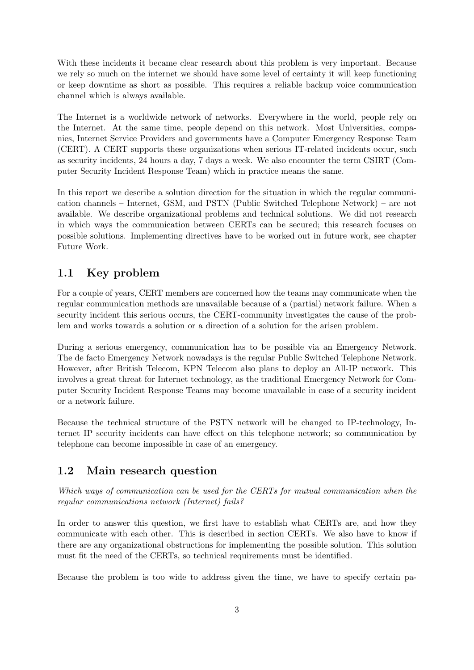With these incidents it became clear research about this problem is very important. Because we rely so much on the internet we should have some level of certainty it will keep functioning or keep downtime as short as possible. This requires a reliable backup voice communication channel which is always available.

The Internet is a worldwide network of networks. Everywhere in the world, people rely on the Internet. At the same time, people depend on this network. Most Universities, companies, Internet Service Providers and governments have a Computer Emergency Response Team (CERT). A CERT supports these organizations when serious IT-related incidents occur, such as security incidents, 24 hours a day, 7 days a week. We also encounter the term CSIRT (Computer Security Incident Response Team) which in practice means the same.

In this report we describe a solution direction for the situation in which the regular communication channels – Internet, GSM, and PSTN (Public Switched Telephone Network) – are not available. We describe organizational problems and technical solutions. We did not research in which ways the communication between CERTs can be secured; this research focuses on possible solutions. Implementing directives have to be worked out in future work, see chapter Future Work.

## <span id="page-4-0"></span>1.1 Key problem

For a couple of years, CERT members are concerned how the teams may communicate when the regular communication methods are unavailable because of a (partial) network failure. When a security incident this serious occurs, the CERT-community investigates the cause of the problem and works towards a solution or a direction of a solution for the arisen problem.

During a serious emergency, communication has to be possible via an Emergency Network. The de facto Emergency Network nowadays is the regular Public Switched Telephone Network. However, after British Telecom, KPN Telecom also plans to deploy an All-IP network. This involves a great threat for Internet technology, as the traditional Emergency Network for Computer Security Incident Response Teams may become unavailable in case of a security incident or a network failure.

Because the technical structure of the PSTN network will be changed to IP-technology, Internet IP security incidents can have effect on this telephone network; so communication by telephone can become impossible in case of an emergency.

## <span id="page-4-1"></span>1.2 Main research question

Which ways of communication can be used for the CERTs for mutual communication when the regular communications network (Internet) fails?

In order to answer this question, we first have to establish what CERTs are, and how they communicate with each other. This is described in section CERTs. We also have to know if there are any organizational obstructions for implementing the possible solution. This solution must fit the need of the CERTs, so technical requirements must be identified.

Because the problem is too wide to address given the time, we have to specify certain pa-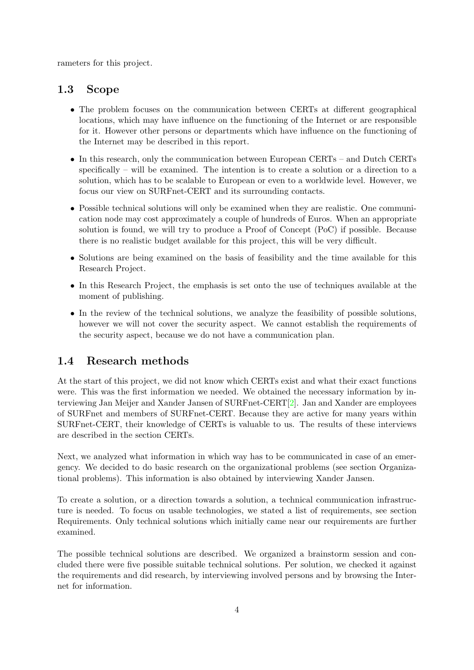rameters for this project.

## <span id="page-5-0"></span>1.3 Scope

- The problem focuses on the communication between CERTs at different geographical locations, which may have influence on the functioning of the Internet or are responsible for it. However other persons or departments which have influence on the functioning of the Internet may be described in this report.
- In this research, only the communication between European CERTs and Dutch CERTs specifically – will be examined. The intention is to create a solution or a direction to a solution, which has to be scalable to European or even to a worldwide level. However, we focus our view on SURFnet-CERT and its surrounding contacts.
- Possible technical solutions will only be examined when they are realistic. One communication node may cost approximately a couple of hundreds of Euros. When an appropriate solution is found, we will try to produce a Proof of Concept (PoC) if possible. Because there is no realistic budget available for this project, this will be very difficult.
- Solutions are being examined on the basis of feasibility and the time available for this Research Project.
- In this Research Project, the emphasis is set onto the use of techniques available at the moment of publishing.
- In the review of the technical solutions, we analyze the feasibility of possible solutions, however we will not cover the security aspect. We cannot establish the requirements of the security aspect, because we do not have a communication plan.

## <span id="page-5-1"></span>1.4 Research methods

At the start of this project, we did not know which CERTs exist and what their exact functions were. This was the first information we needed. We obtained the necessary information by interviewing Jan Meijer and Xander Jansen of SURFnet-CERT[\[2\]](#page-28-1). Jan and Xander are employees of SURFnet and members of SURFnet-CERT. Because they are active for many years within SURFnet-CERT, their knowledge of CERTs is valuable to us. The results of these interviews are described in the section CERTs.

Next, we analyzed what information in which way has to be communicated in case of an emergency. We decided to do basic research on the organizational problems (see section Organizational problems). This information is also obtained by interviewing Xander Jansen.

To create a solution, or a direction towards a solution, a technical communication infrastructure is needed. To focus on usable technologies, we stated a list of requirements, see section Requirements. Only technical solutions which initially came near our requirements are further examined.

The possible technical solutions are described. We organized a brainstorm session and concluded there were five possible suitable technical solutions. Per solution, we checked it against the requirements and did research, by interviewing involved persons and by browsing the Internet for information.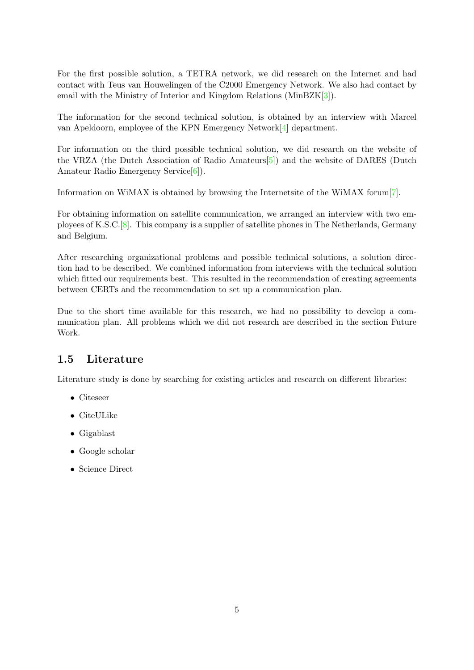For the first possible solution, a TETRA network, we did research on the Internet and had contact with Teus van Houwelingen of the C2000 Emergency Network. We also had contact by email with the Ministry of Interior and Kingdom Relations (MinBZK[\[3\]](#page-28-2)).

The information for the second technical solution, is obtained by an interview with Marcel van Apeldoorn, employee of the KPN Emergency Network[\[4\]](#page-28-3) department.

For information on the third possible technical solution, we did research on the website of the VRZA (the Dutch Association of Radio Amateurs[\[5\]](#page-28-4)) and the website of DARES (Dutch Amateur Radio Emergency Service[\[6\]](#page-28-5)).

Information on WiMAX is obtained by browsing the Internetsite of the WiMAX forum[\[7\]](#page-28-6).

For obtaining information on satellite communication, we arranged an interview with two employees of K.S.C.[\[8\]](#page-28-7). This company is a supplier of satellite phones in The Netherlands, Germany and Belgium.

After researching organizational problems and possible technical solutions, a solution direction had to be described. We combined information from interviews with the technical solution which fitted our requirements best. This resulted in the recommendation of creating agreements between CERTs and the recommendation to set up a communication plan.

Due to the short time available for this research, we had no possibility to develop a communication plan. All problems which we did not research are described in the section Future Work.

## <span id="page-6-0"></span>1.5 Literature

Literature study is done by searching for existing articles and research on different libraries:

- Citeseer
- CiteULike
- Gigablast
- Google scholar
- Science Direct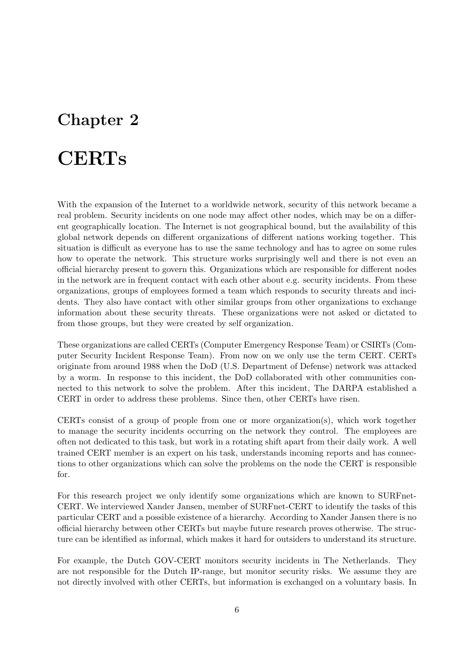# <span id="page-7-0"></span>CERTs

With the expansion of the Internet to a worldwide network, security of this network became a real problem. Security incidents on one node may affect other nodes, which may be on a different geographically location. The Internet is not geographical bound, but the availability of this global network depends on different organizations of different nations working together. This situation is difficult as everyone has to use the same technology and has to agree on some rules how to operate the network. This structure works surprisingly well and there is not even an official hierarchy present to govern this. Organizations which are responsible for different nodes in the network are in frequent contact with each other about e.g. security incidents. From these organizations, groups of employees formed a team which responds to security threats and incidents. They also have contact with other similar groups from other organizations to exchange information about these security threats. These organizations were not asked or dictated to from those groups, but they were created by self organization.

These organizations are called CERTs (Computer Emergency Response Team) or CSIRTs (Computer Security Incident Response Team). From now on we only use the term CERT. CERTs originate from around 1988 when the DoD (U.S. Department of Defense) network was attacked by a worm. In response to this incident, the DoD collaborated with other communities connected to this network to solve the problem. After this incident, The DARPA established a CERT in order to address these problems. Since then, other CERTs have risen.

CERTs consist of a group of people from one or more organization(s), which work together to manage the security incidents occurring on the network they control. The employees are often not dedicated to this task, but work in a rotating shift apart from their daily work. A well trained CERT member is an expert on his task, understands incoming reports and has connections to other organizations which can solve the problems on the node the CERT is responsible for.

For this research project we only identify some organizations which are known to SURFnet-CERT. We interviewed Xander Jansen, member of SURFnet-CERT to identify the tasks of this particular CERT and a possible existence of a hierarchy. According to Xander Jansen there is no official hierarchy between other CERTs but maybe future research proves otherwise. The structure can be identified as informal, which makes it hard for outsiders to understand its structure.

For example, the Dutch GOV-CERT monitors security incidents in The Netherlands. They are not responsible for the Dutch IP-range, but monitor security risks. We assume they are not directly involved with other CERTs, but information is exchanged on a voluntary basis. In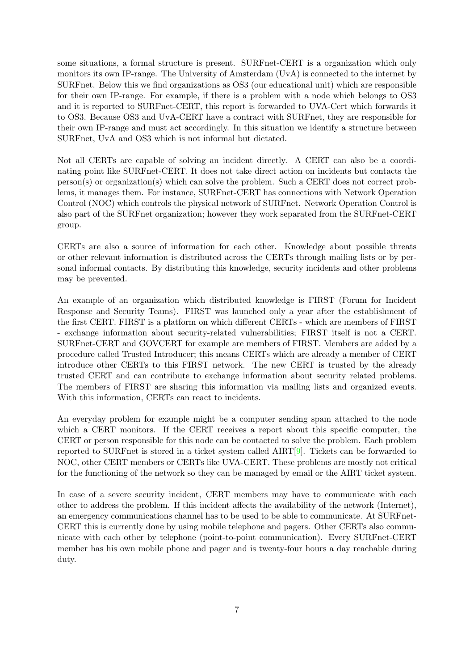some situations, a formal structure is present. SURFnet-CERT is a organization which only monitors its own IP-range. The University of Amsterdam (UvA) is connected to the internet by SURFnet. Below this we find organizations as OS3 (our educational unit) which are responsible for their own IP-range. For example, if there is a problem with a node which belongs to OS3 and it is reported to SURFnet-CERT, this report is forwarded to UVA-Cert which forwards it to OS3. Because OS3 and UvA-CERT have a contract with SURFnet, they are responsible for their own IP-range and must act accordingly. In this situation we identify a structure between SURFnet, UvA and OS3 which is not informal but dictated.

Not all CERTs are capable of solving an incident directly. A CERT can also be a coordinating point like SURFnet-CERT. It does not take direct action on incidents but contacts the person(s) or organization(s) which can solve the problem. Such a CERT does not correct problems, it manages them. For instance, SURFnet-CERT has connections with Network Operation Control (NOC) which controls the physical network of SURFnet. Network Operation Control is also part of the SURFnet organization; however they work separated from the SURFnet-CERT group.

CERTs are also a source of information for each other. Knowledge about possible threats or other relevant information is distributed across the CERTs through mailing lists or by personal informal contacts. By distributing this knowledge, security incidents and other problems may be prevented.

An example of an organization which distributed knowledge is FIRST (Forum for Incident Response and Security Teams). FIRST was launched only a year after the establishment of the first CERT. FIRST is a platform on which different CERTs - which are members of FIRST - exchange information about security-related vulnerabilities; FIRST itself is not a CERT. SURFnet-CERT and GOVCERT for example are members of FIRST. Members are added by a procedure called Trusted Introducer; this means CERTs which are already a member of CERT introduce other CERTs to this FIRST network. The new CERT is trusted by the already trusted CERT and can contribute to exchange information about security related problems. The members of FIRST are sharing this information via mailing lists and organized events. With this information, CERTs can react to incidents.

An everyday problem for example might be a computer sending spam attached to the node which a CERT monitors. If the CERT receives a report about this specific computer, the CERT or person responsible for this node can be contacted to solve the problem. Each problem reported to SURFnet is stored in a ticket system called AIRT[\[9\]](#page-28-8). Tickets can be forwarded to NOC, other CERT members or CERTs like UVA-CERT. These problems are mostly not critical for the functioning of the network so they can be managed by email or the AIRT ticket system.

In case of a severe security incident, CERT members may have to communicate with each other to address the problem. If this incident affects the availability of the network (Internet), an emergency communications channel has to be used to be able to communicate. At SURFnet-CERT this is currently done by using mobile telephone and pagers. Other CERTs also communicate with each other by telephone (point-to-point communication). Every SURFnet-CERT member has his own mobile phone and pager and is twenty-four hours a day reachable during duty.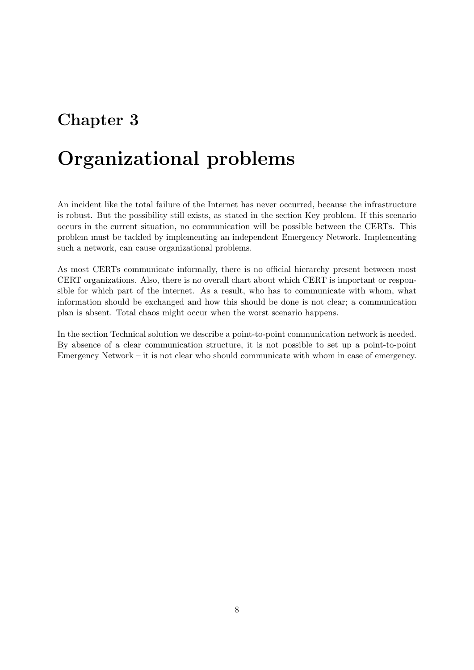# <span id="page-9-0"></span>Organizational problems

An incident like the total failure of the Internet has never occurred, because the infrastructure is robust. But the possibility still exists, as stated in the section Key problem. If this scenario occurs in the current situation, no communication will be possible between the CERTs. This problem must be tackled by implementing an independent Emergency Network. Implementing such a network, can cause organizational problems.

As most CERTs communicate informally, there is no official hierarchy present between most CERT organizations. Also, there is no overall chart about which CERT is important or responsible for which part of the internet. As a result, who has to communicate with whom, what information should be exchanged and how this should be done is not clear; a communication plan is absent. Total chaos might occur when the worst scenario happens.

In the section Technical solution we describe a point-to-point communication network is needed. By absence of a clear communication structure, it is not possible to set up a point-to-point Emergency Network – it is not clear who should communicate with whom in case of emergency.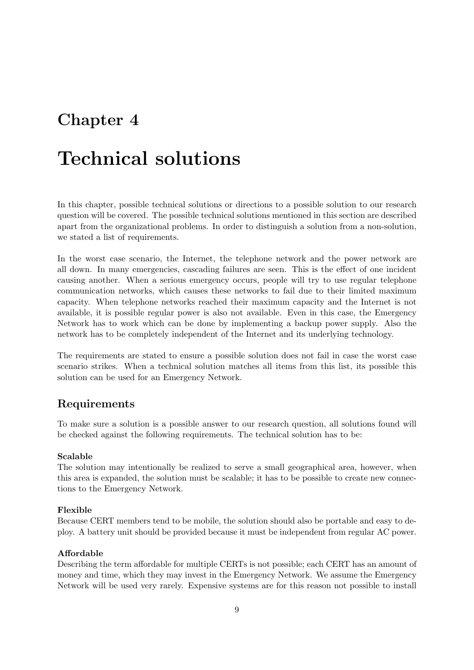# <span id="page-10-0"></span>Technical solutions

In this chapter, possible technical solutions or directions to a possible solution to our research question will be covered. The possible technical solutions mentioned in this section are described apart from the organizational problems. In order to distinguish a solution from a non-solution, we stated a list of requirements.

In the worst case scenario, the Internet, the telephone network and the power network are all down. In many emergencies, cascading failures are seen. This is the effect of one incident causing another. When a serious emergency occurs, people will try to use regular telephone communication networks, which causes these networks to fail due to their limited maximum capacity. When telephone networks reached their maximum capacity and the Internet is not available, it is possible regular power is also not available. Even in this case, the Emergency Network has to work which can be done by implementing a backup power supply. Also the network has to be completely independent of the Internet and its underlying technology.

The requirements are stated to ensure a possible solution does not fail in case the worst case scenario strikes. When a technical solution matches all items from this list, its possible this solution can be used for an Emergency Network.

## Requirements

To make sure a solution is a possible answer to our research question, all solutions found will be checked against the following requirements. The technical solution has to be:

#### Scalable

The solution may intentionally be realized to serve a small geographical area, however, when this area is expanded, the solution must be scalable; it has to be possible to create new connections to the Emergency Network.

#### Flexible

Because CERT members tend to be mobile, the solution should also be portable and easy to deploy. A battery unit should be provided because it must be independent from regular AC power.

#### Affordable

Describing the term affordable for multiple CERTs is not possible; each CERT has an amount of money and time, which they may invest in the Emergency Network. We assume the Emergency Network will be used very rarely. Expensive systems are for this reason not possible to install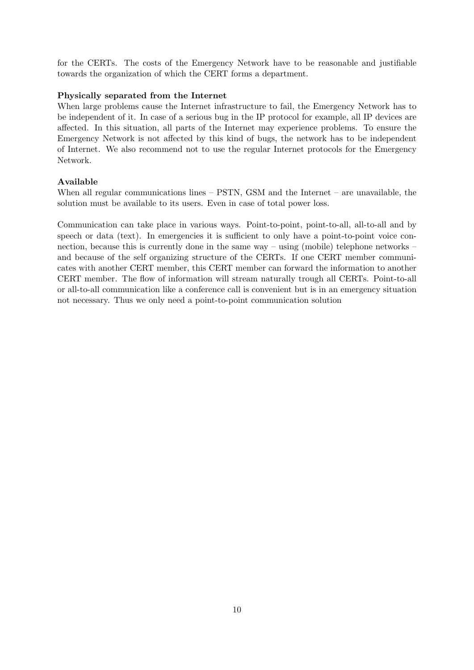for the CERTs. The costs of the Emergency Network have to be reasonable and justifiable towards the organization of which the CERT forms a department.

#### Physically separated from the Internet

When large problems cause the Internet infrastructure to fail, the Emergency Network has to be independent of it. In case of a serious bug in the IP protocol for example, all IP devices are affected. In this situation, all parts of the Internet may experience problems. To ensure the Emergency Network is not affected by this kind of bugs, the network has to be independent of Internet. We also recommend not to use the regular Internet protocols for the Emergency Network.

#### Available

When all regular communications lines – PSTN, GSM and the Internet – are unavailable, the solution must be available to its users. Even in case of total power loss.

Communication can take place in various ways. Point-to-point, point-to-all, all-to-all and by speech or data (text). In emergencies it is sufficient to only have a point-to-point voice connection, because this is currently done in the same way – using (mobile) telephone networks – and because of the self organizing structure of the CERTs. If one CERT member communicates with another CERT member, this CERT member can forward the information to another CERT member. The flow of information will stream naturally trough all CERTs. Point-to-all or all-to-all communication like a conference call is convenient but is in an emergency situation not necessary. Thus we only need a point-to-point communication solution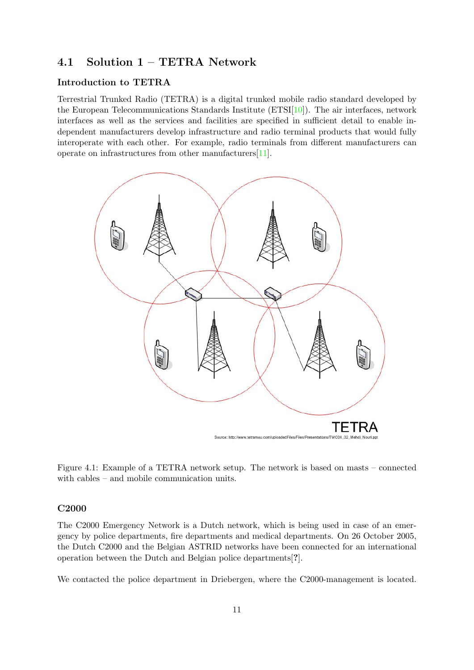## <span id="page-12-0"></span>4.1 Solution 1 – TETRA Network

### Introduction to TETRA

Terrestrial Trunked Radio (TETRA) is a digital trunked mobile radio standard developed by the European Telecommunications Standards Institute  $(ETSI[10])$  $(ETSI[10])$  $(ETSI[10])$ . The air interfaces, network interfaces as well as the services and facilities are specified in sufficient detail to enable independent manufacturers develop infrastructure and radio terminal products that would fully interoperate with each other. For example, radio terminals from different manufacturers can operate on infrastructures from other manufacturers[\[11\]](#page-28-10).



Figure 4.1: Example of a TETRA network setup. The network is based on masts – connected with cables – and mobile communication units.

#### C2000

The C2000 Emergency Network is a Dutch network, which is being used in case of an emergency by police departments, fire departments and medical departments. On 26 October 2005, the Dutch C2000 and the Belgian ASTRID networks have been connected for an international operation between the Dutch and Belgian police departments[?].

We contacted the police department in Driebergen, where the C2000-management is located.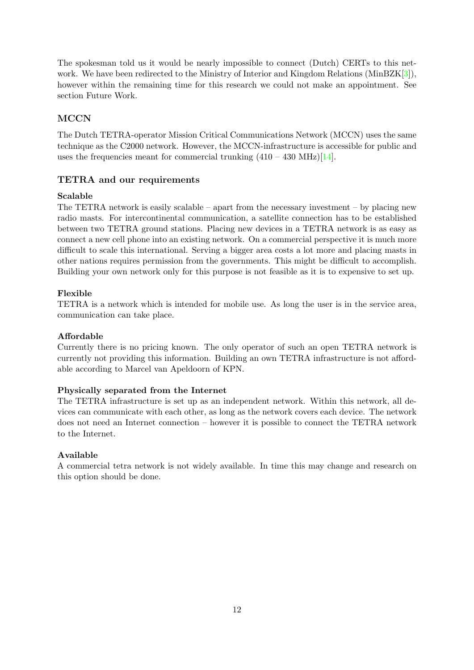The spokesman told us it would be nearly impossible to connect (Dutch) CERTs to this net-work. We have been redirected to the Ministry of Interior and Kingdom Relations (MinBZK[\[3\]](#page-28-2)), however within the remaining time for this research we could not make an appointment. See section Future Work.

### **MCCN**

The Dutch TETRA-operator Mission Critical Communications Network (MCCN) uses the same technique as the C2000 network. However, the MCCN-infrastructure is accessible for public and uses the frequencies meant for commercial trunking  $(410 - 430 \text{ MHz})[14]$  $(410 - 430 \text{ MHz})[14]$ .

#### TETRA and our requirements

#### Scalable

The TETRA network is easily scalable – apart from the necessary investment – by placing new radio masts. For intercontinental communication, a satellite connection has to be established between two TETRA ground stations. Placing new devices in a TETRA network is as easy as connect a new cell phone into an existing network. On a commercial perspective it is much more difficult to scale this international. Serving a bigger area costs a lot more and placing masts in other nations requires permission from the governments. This might be difficult to accomplish. Building your own network only for this purpose is not feasible as it is to expensive to set up.

#### Flexible

TETRA is a network which is intended for mobile use. As long the user is in the service area, communication can take place.

#### Affordable

Currently there is no pricing known. The only operator of such an open TETRA network is currently not providing this information. Building an own TETRA infrastructure is not affordable according to Marcel van Apeldoorn of KPN.

#### Physically separated from the Internet

The TETRA infrastructure is set up as an independent network. Within this network, all devices can communicate with each other, as long as the network covers each device. The network does not need an Internet connection – however it is possible to connect the TETRA network to the Internet.

#### Available

A commercial tetra network is not widely available. In time this may change and research on this option should be done.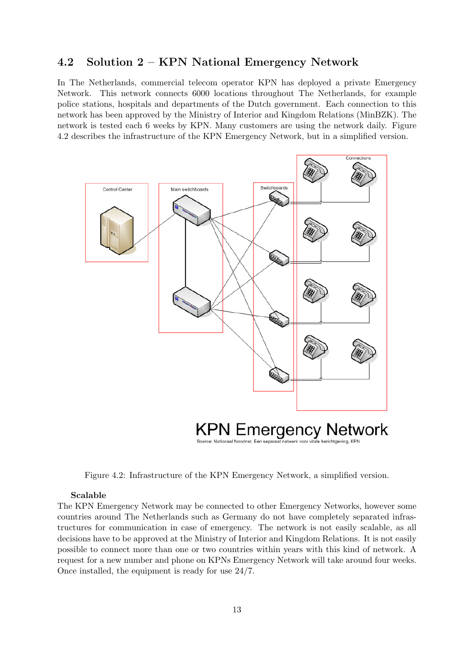## <span id="page-14-0"></span>4.2 Solution 2 – KPN National Emergency Network

In The Netherlands, commercial telecom operator KPN has deployed a private Emergency Network. This network connects 6000 locations throughout The Netherlands, for example police stations, hospitals and departments of the Dutch government. Each connection to this network has been approved by the Ministry of Interior and Kingdom Relations (MinBZK). The network is tested each 6 weeks by KPN. Many customers are using the network daily. Figure 4.2 describes the infrastructure of the KPN Emergency Network, but in a simplified version.



Figure 4.2: Infrastructure of the KPN Emergency Network, a simplified version.

#### Scalable

The KPN Emergency Network may be connected to other Emergency Networks, however some countries around The Netherlands such as Germany do not have completely separated infrastructures for communication in case of emergency. The network is not easily scalable, as all decisions have to be approved at the Ministry of Interior and Kingdom Relations. It is not easily possible to connect more than one or two countries within years with this kind of network. A request for a new number and phone on KPNs Emergency Network will take around four weeks. Once installed, the equipment is ready for use 24/7.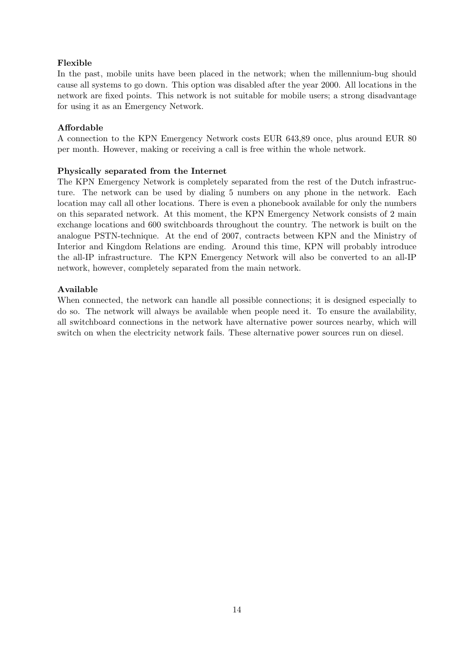#### Flexible

In the past, mobile units have been placed in the network; when the millennium-bug should cause all systems to go down. This option was disabled after the year 2000. All locations in the network are fixed points. This network is not suitable for mobile users; a strong disadvantage for using it as an Emergency Network.

#### Affordable

A connection to the KPN Emergency Network costs EUR 643,89 once, plus around EUR 80 per month. However, making or receiving a call is free within the whole network.

#### Physically separated from the Internet

The KPN Emergency Network is completely separated from the rest of the Dutch infrastructure. The network can be used by dialing 5 numbers on any phone in the network. Each location may call all other locations. There is even a phonebook available for only the numbers on this separated network. At this moment, the KPN Emergency Network consists of 2 main exchange locations and 600 switchboards throughout the country. The network is built on the analogue PSTN-technique. At the end of 2007, contracts between KPN and the Ministry of Interior and Kingdom Relations are ending. Around this time, KPN will probably introduce the all-IP infrastructure. The KPN Emergency Network will also be converted to an all-IP network, however, completely separated from the main network.

#### Available

When connected, the network can handle all possible connections; it is designed especially to do so. The network will always be available when people need it. To ensure the availability, all switchboard connections in the network have alternative power sources nearby, which will switch on when the electricity network fails. These alternative power sources run on diesel.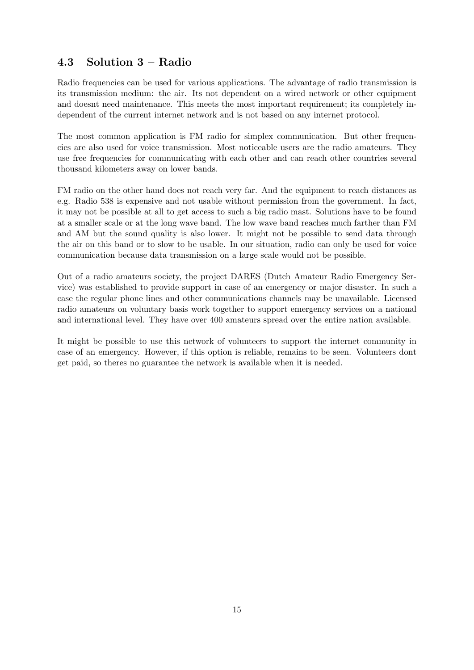## <span id="page-16-0"></span>4.3 Solution 3 – Radio

Radio frequencies can be used for various applications. The advantage of radio transmission is its transmission medium: the air. Its not dependent on a wired network or other equipment and doesnt need maintenance. This meets the most important requirement; its completely independent of the current internet network and is not based on any internet protocol.

The most common application is FM radio for simplex communication. But other frequencies are also used for voice transmission. Most noticeable users are the radio amateurs. They use free frequencies for communicating with each other and can reach other countries several thousand kilometers away on lower bands.

FM radio on the other hand does not reach very far. And the equipment to reach distances as e.g. Radio 538 is expensive and not usable without permission from the government. In fact, it may not be possible at all to get access to such a big radio mast. Solutions have to be found at a smaller scale or at the long wave band. The low wave band reaches much farther than FM and AM but the sound quality is also lower. It might not be possible to send data through the air on this band or to slow to be usable. In our situation, radio can only be used for voice communication because data transmission on a large scale would not be possible.

Out of a radio amateurs society, the project DARES (Dutch Amateur Radio Emergency Service) was established to provide support in case of an emergency or major disaster. In such a case the regular phone lines and other communications channels may be unavailable. Licensed radio amateurs on voluntary basis work together to support emergency services on a national and international level. They have over 400 amateurs spread over the entire nation available.

It might be possible to use this network of volunteers to support the internet community in case of an emergency. However, if this option is reliable, remains to be seen. Volunteers dont get paid, so theres no guarantee the network is available when it is needed.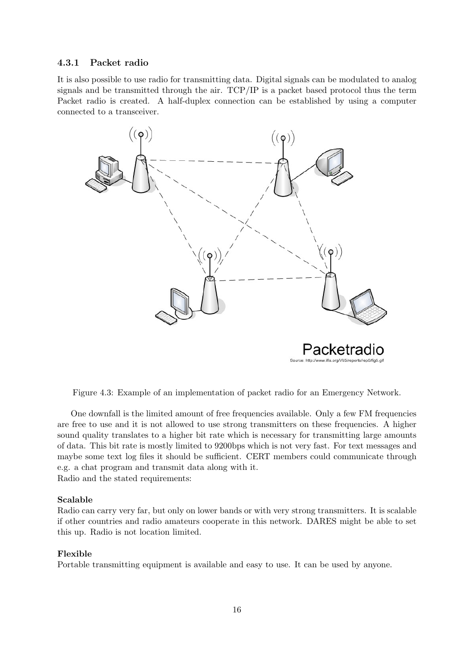#### <span id="page-17-0"></span>4.3.1 Packet radio

It is also possible to use radio for transmitting data. Digital signals can be modulated to analog signals and be transmitted through the air. TCP/IP is a packet based protocol thus the term Packet radio is created. A half-duplex connection can be established by using a computer connected to a transceiver.



Figure 4.3: Example of an implementation of packet radio for an Emergency Network.

One downfall is the limited amount of free frequencies available. Only a few FM frequencies are free to use and it is not allowed to use strong transmitters on these frequencies. A higher sound quality translates to a higher bit rate which is necessary for transmitting large amounts of data. This bit rate is mostly limited to 9200bps which is not very fast. For text messages and maybe some text log files it should be sufficient. CERT members could communicate through e.g. a chat program and transmit data along with it. Radio and the stated requirements:

#### Scalable

Radio can carry very far, but only on lower bands or with very strong transmitters. It is scalable if other countries and radio amateurs cooperate in this network. DARES might be able to set this up. Radio is not location limited.

#### Flexible

Portable transmitting equipment is available and easy to use. It can be used by anyone.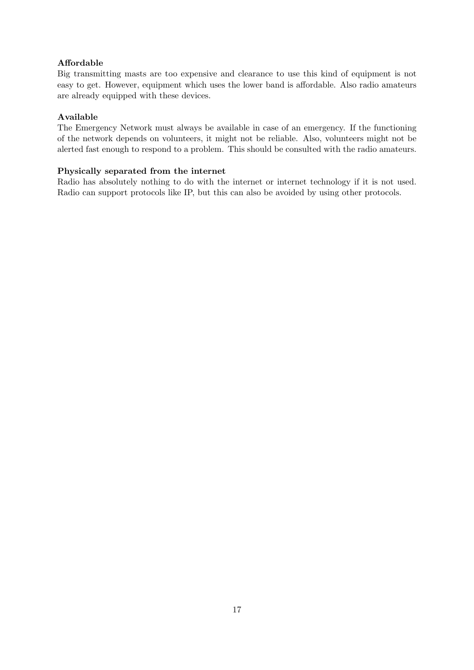### Affordable

Big transmitting masts are too expensive and clearance to use this kind of equipment is not easy to get. However, equipment which uses the lower band is affordable. Also radio amateurs are already equipped with these devices.

#### Available

The Emergency Network must always be available in case of an emergency. If the functioning of the network depends on volunteers, it might not be reliable. Also, volunteers might not be alerted fast enough to respond to a problem. This should be consulted with the radio amateurs.

#### Physically separated from the internet

Radio has absolutely nothing to do with the internet or internet technology if it is not used. Radio can support protocols like IP, but this can also be avoided by using other protocols.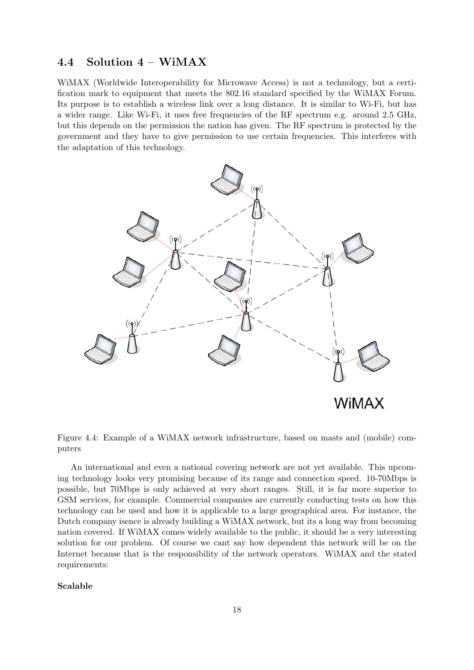## <span id="page-19-0"></span>4.4 Solution 4 – WiMAX

WiMAX (Worldwide Interoperability for Microwave Access) is not a technology, but a certification mark to equipment that meets the 802.16 standard specified by the WiMAX Forum. Its purpose is to establish a wireless link over a long distance. It is similar to Wi-Fi, but has a wider range. Like Wi-Fi, it uses free frequencies of the RF spectrum e.g. around 2.5 GHz, but this depends on the permission the nation has given. The RF spectrum is protected by the government and they have to give permission to use certain frequencies. This interferes with the adaptation of this technology.



Figure 4.4: Example of a WiMAX network infrastructure, based on masts and (mobile) computers

An international and even a national covering network are not yet available. This upcoming technology looks very promising because of its range and connection speed. 10-70Mbps is possible, but 70Mbps is only achieved at very short ranges. Still, it is far more superior to GSM services, for example. Commercial companies are currently conducting tests on how this technology can be used and how it is applicable to a large geographical area. For instance, the Dutch company isence is already building a WiMAX network, but its a long way from becoming nation covered. If WiMAX comes widely available to the public, it should be a very interesting solution for our problem. Of course we cant say how dependent this network will be on the Internet because that is the responsibility of the network operators. WiMAX and the stated requirements:

#### Scalable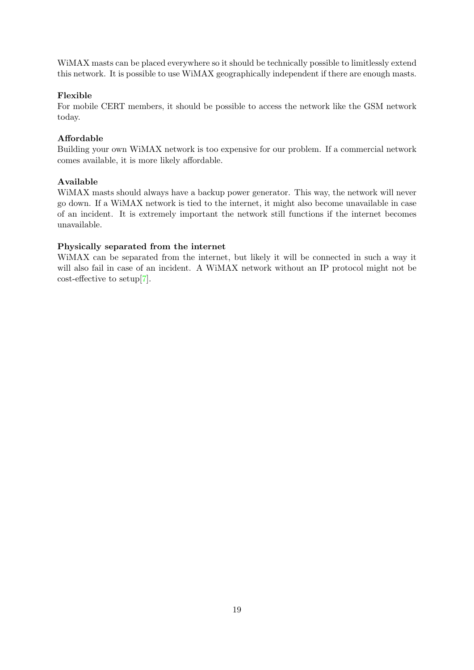WiMAX masts can be placed everywhere so it should be technically possible to limitlessly extend this network. It is possible to use WiMAX geographically independent if there are enough masts.

#### Flexible

For mobile CERT members, it should be possible to access the network like the GSM network today.

#### Affordable

Building your own WiMAX network is too expensive for our problem. If a commercial network comes available, it is more likely affordable.

#### Available

WiMAX masts should always have a backup power generator. This way, the network will never go down. If a WiMAX network is tied to the internet, it might also become unavailable in case of an incident. It is extremely important the network still functions if the internet becomes unavailable.

#### Physically separated from the internet

WiMAX can be separated from the internet, but likely it will be connected in such a way it will also fail in case of an incident. A WiMAX network without an IP protocol might not be cost-effective to setup[\[7\]](#page-28-6).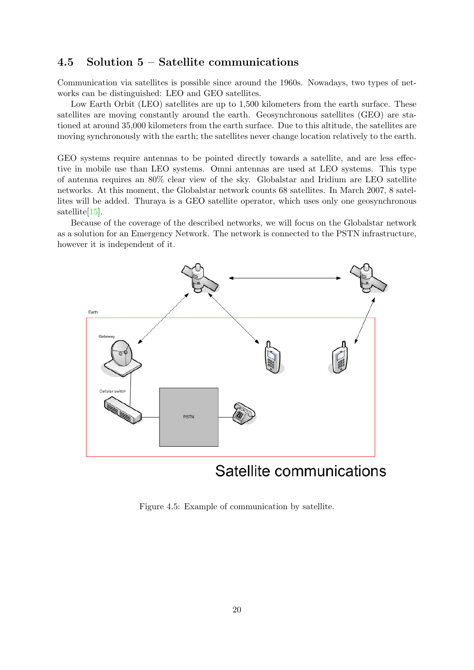## <span id="page-21-0"></span>4.5 Solution 5 – Satellite communications

Communication via satellites is possible since around the 1960s. Nowadays, two types of networks can be distinguished: LEO and GEO satellites.

Low Earth Orbit (LEO) satellites are up to  $1,500$  kilometers from the earth surface. These satellites are moving constantly around the earth. Geosynchronous satellites (GEO) are stationed at around 35,000 kilometers from the earth surface. Due to this altitude, the satellites are moving synchronously with the earth; the satellites never change location relatively to the earth.

GEO systems require antennas to be pointed directly towards a satellite, and are less effective in mobile use than LEO systems. Omni antennas are used at LEO systems. This type of antenna requires an 80% clear view of the sky. Globalstar and Iridium are LEO satellite networks. At this moment, the Globalstar network counts 68 satellites. In March 2007, 8 satellites will be added. Thuraya is a GEO satellite operator, which uses only one geosynchronous satellite<sup>[\[15\]](#page-28-12)</sup>.

Because of the coverage of the described networks, we will focus on the Globalstar network as a solution for an Emergency Network. The network is connected to the PSTN infrastructure, however it is independent of it.



Satellite communications

Figure 4.5: Example of communication by satellite.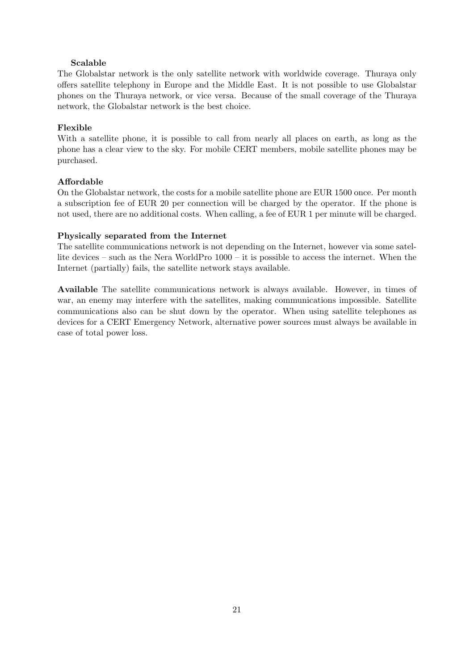#### Scalable

The Globalstar network is the only satellite network with worldwide coverage. Thuraya only offers satellite telephony in Europe and the Middle East. It is not possible to use Globalstar phones on the Thuraya network, or vice versa. Because of the small coverage of the Thuraya network, the Globalstar network is the best choice.

#### Flexible

With a satellite phone, it is possible to call from nearly all places on earth, as long as the phone has a clear view to the sky. For mobile CERT members, mobile satellite phones may be purchased.

#### Affordable

On the Globalstar network, the costs for a mobile satellite phone are EUR 1500 once. Per month a subscription fee of EUR 20 per connection will be charged by the operator. If the phone is not used, there are no additional costs. When calling, a fee of EUR 1 per minute will be charged.

#### Physically separated from the Internet

The satellite communications network is not depending on the Internet, however via some satellite devices – such as the Nera WorldPro 1000 – it is possible to access the internet. When the Internet (partially) fails, the satellite network stays available.

Available The satellite communications network is always available. However, in times of war, an enemy may interfere with the satellites, making communications impossible. Satellite communications also can be shut down by the operator. When using satellite telephones as devices for a CERT Emergency Network, alternative power sources must always be available in case of total power loss.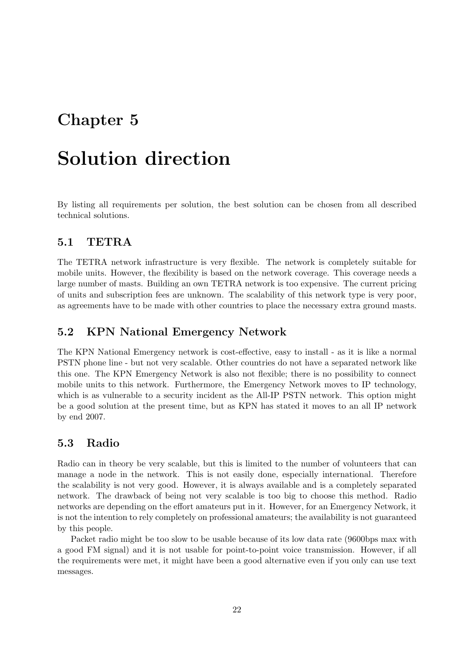# <span id="page-23-0"></span>Solution direction

By listing all requirements per solution, the best solution can be chosen from all described technical solutions.

## <span id="page-23-1"></span>5.1 TETRA

The TETRA network infrastructure is very flexible. The network is completely suitable for mobile units. However, the flexibility is based on the network coverage. This coverage needs a large number of masts. Building an own TETRA network is too expensive. The current pricing of units and subscription fees are unknown. The scalability of this network type is very poor, as agreements have to be made with other countries to place the necessary extra ground masts.

### <span id="page-23-2"></span>5.2 KPN National Emergency Network

The KPN National Emergency network is cost-effective, easy to install - as it is like a normal PSTN phone line - but not very scalable. Other countries do not have a separated network like this one. The KPN Emergency Network is also not flexible; there is no possibility to connect mobile units to this network. Furthermore, the Emergency Network moves to IP technology, which is as vulnerable to a security incident as the All-IP PSTN network. This option might be a good solution at the present time, but as KPN has stated it moves to an all IP network by end 2007.

### <span id="page-23-3"></span>5.3 Radio

Radio can in theory be very scalable, but this is limited to the number of volunteers that can manage a node in the network. This is not easily done, especially international. Therefore the scalability is not very good. However, it is always available and is a completely separated network. The drawback of being not very scalable is too big to choose this method. Radio networks are depending on the effort amateurs put in it. However, for an Emergency Network, it is not the intention to rely completely on professional amateurs; the availability is not guaranteed by this people.

Packet radio might be too slow to be usable because of its low data rate (9600bps max with a good FM signal) and it is not usable for point-to-point voice transmission. However, if all the requirements were met, it might have been a good alternative even if you only can use text messages.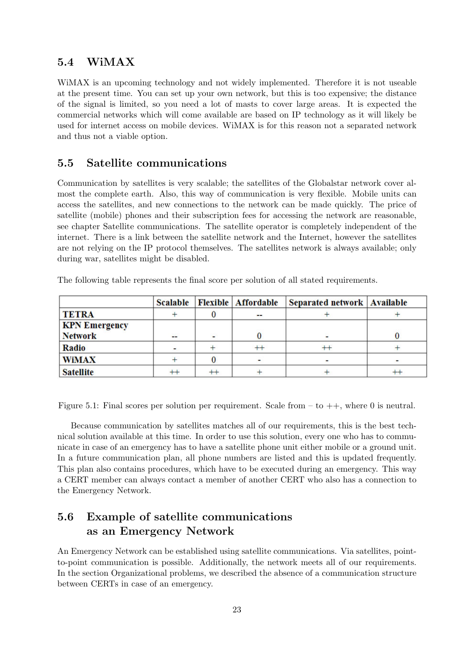### <span id="page-24-0"></span>5.4 WiMAX

WiMAX is an upcoming technology and not widely implemented. Therefore it is not useable at the present time. You can set up your own network, but this is too expensive; the distance of the signal is limited, so you need a lot of masts to cover large areas. It is expected the commercial networks which will come available are based on IP technology as it will likely be used for internet access on mobile devices. WiMAX is for this reason not a separated network and thus not a viable option.

#### <span id="page-24-1"></span>5.5 Satellite communications

Communication by satellites is very scalable; the satellites of the Globalstar network cover almost the complete earth. Also, this way of communication is very flexible. Mobile units can access the satellites, and new connections to the network can be made quickly. The price of satellite (mobile) phones and their subscription fees for accessing the network are reasonable, see chapter Satellite communications. The satellite operator is completely independent of the internet. There is a link between the satellite network and the Internet, however the satellites are not relying on the IP protocol themselves. The satellites network is always available; only during war, satellites might be disabled.

|                      | <b>Scalable</b>          | <b>Flexible   Affordable</b> | <b>Separated network   Available</b> |  |
|----------------------|--------------------------|------------------------------|--------------------------------------|--|
| <b>TETRA</b>         |                          | --                           |                                      |  |
| <b>KPN Emergency</b> |                          |                              |                                      |  |
| <b>Network</b>       | $\overline{\phantom{0}}$ |                              |                                      |  |
| Radio                |                          |                              |                                      |  |
| <b>WiMAX</b>         |                          |                              |                                      |  |
| <b>Satellite</b>     |                          |                              |                                      |  |

The following table represents the final score per solution of all stated requirements.

Figure 5.1: Final scores per solution per requirement. Scale from  $-$  to  $++$ , where 0 is neutral.

Because communication by satellites matches all of our requirements, this is the best technical solution available at this time. In order to use this solution, every one who has to communicate in case of an emergency has to have a satellite phone unit either mobile or a ground unit. In a future communication plan, all phone numbers are listed and this is updated frequently. This plan also contains procedures, which have to be executed during an emergency. This way a CERT member can always contact a member of another CERT who also has a connection to the Emergency Network.

## <span id="page-24-2"></span>5.6 Example of satellite communications as an Emergency Network

An Emergency Network can be established using satellite communications. Via satellites, pointto-point communication is possible. Additionally, the network meets all of our requirements. In the section Organizational problems, we described the absence of a communication structure between CERTs in case of an emergency.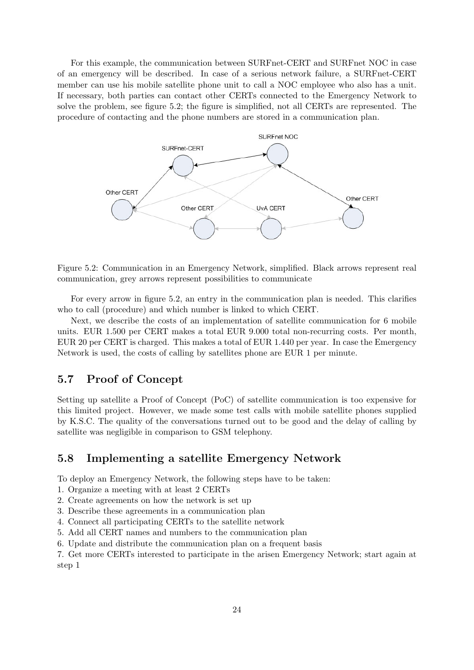For this example, the communication between SURFnet-CERT and SURFnet NOC in case of an emergency will be described. In case of a serious network failure, a SURFnet-CERT member can use his mobile satellite phone unit to call a NOC employee who also has a unit. If necessary, both parties can contact other CERTs connected to the Emergency Network to solve the problem, see figure 5.2; the figure is simplified, not all CERTs are represented. The procedure of contacting and the phone numbers are stored in a communication plan.



Figure 5.2: Communication in an Emergency Network, simplified. Black arrows represent real communication, grey arrows represent possibilities to communicate

For every arrow in figure 5.2, an entry in the communication plan is needed. This clarifies who to call (procedure) and which number is linked to which CERT.

Next, we describe the costs of an implementation of satellite communication for 6 mobile units. EUR 1.500 per CERT makes a total EUR 9.000 total non-recurring costs. Per month, EUR 20 per CERT is charged. This makes a total of EUR 1.440 per year. In case the Emergency Network is used, the costs of calling by satellites phone are EUR 1 per minute.

## <span id="page-25-0"></span>5.7 Proof of Concept

Setting up satellite a Proof of Concept (PoC) of satellite communication is too expensive for this limited project. However, we made some test calls with mobile satellite phones supplied by K.S.C. The quality of the conversations turned out to be good and the delay of calling by satellite was negligible in comparison to GSM telephony.

### <span id="page-25-1"></span>5.8 Implementing a satellite Emergency Network

To deploy an Emergency Network, the following steps have to be taken:

- 1. Organize a meeting with at least 2 CERTs
- 2. Create agreements on how the network is set up
- 3. Describe these agreements in a communication plan
- 4. Connect all participating CERTs to the satellite network
- 5. Add all CERT names and numbers to the communication plan
- 6. Update and distribute the communication plan on a frequent basis

7. Get more CERTs interested to participate in the arisen Emergency Network; start again at step 1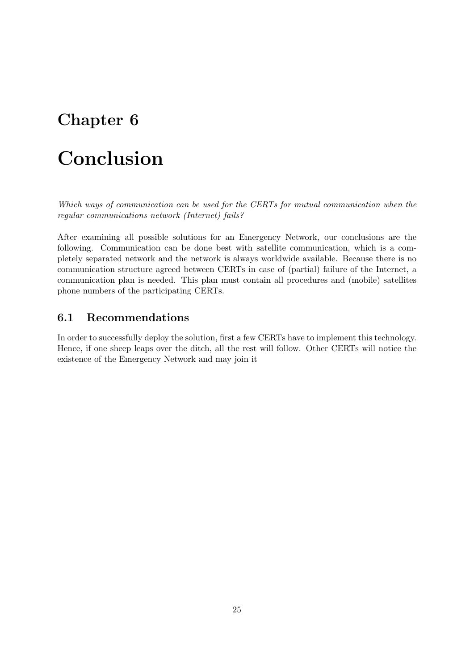# <span id="page-26-0"></span>Conclusion

Which ways of communication can be used for the CERTs for mutual communication when the regular communications network (Internet) fails?

After examining all possible solutions for an Emergency Network, our conclusions are the following. Communication can be done best with satellite communication, which is a completely separated network and the network is always worldwide available. Because there is no communication structure agreed between CERTs in case of (partial) failure of the Internet, a communication plan is needed. This plan must contain all procedures and (mobile) satellites phone numbers of the participating CERTs.

## <span id="page-26-1"></span>6.1 Recommendations

In order to successfully deploy the solution, first a few CERTs have to implement this technology. Hence, if one sheep leaps over the ditch, all the rest will follow. Other CERTs will notice the existence of the Emergency Network and may join it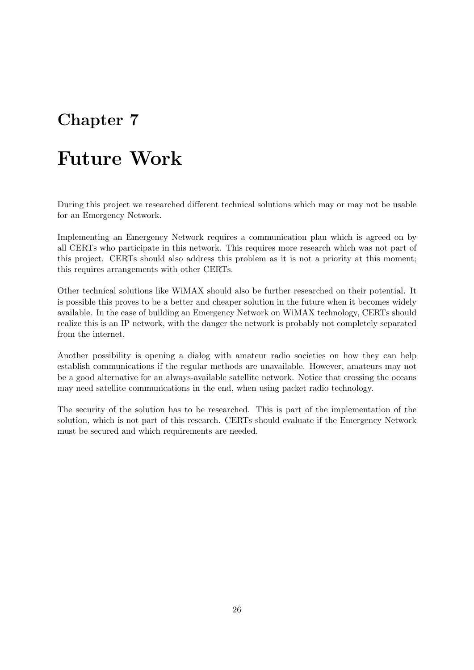# <span id="page-27-0"></span>Future Work

During this project we researched different technical solutions which may or may not be usable for an Emergency Network.

Implementing an Emergency Network requires a communication plan which is agreed on by all CERTs who participate in this network. This requires more research which was not part of this project. CERTs should also address this problem as it is not a priority at this moment; this requires arrangements with other CERTs.

Other technical solutions like WiMAX should also be further researched on their potential. It is possible this proves to be a better and cheaper solution in the future when it becomes widely available. In the case of building an Emergency Network on WiMAX technology, CERTs should realize this is an IP network, with the danger the network is probably not completely separated from the internet.

Another possibility is opening a dialog with amateur radio societies on how they can help establish communications if the regular methods are unavailable. However, amateurs may not be a good alternative for an always-available satellite network. Notice that crossing the oceans may need satellite communications in the end, when using packet radio technology.

The security of the solution has to be researched. This is part of the implementation of the solution, which is not part of this research. CERTs should evaluate if the Emergency Network must be secured and which requirements are needed.